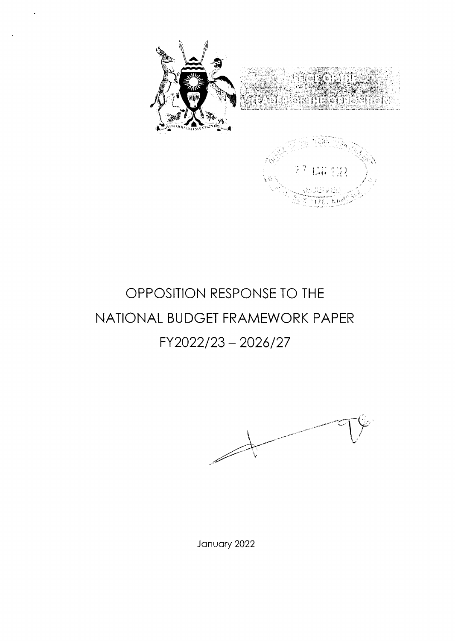

# OPPOSITION RESPONSE TO THE NATIONAL BUDGET FRAMEWORK PAPER FY2022/23-2026/27

January 2022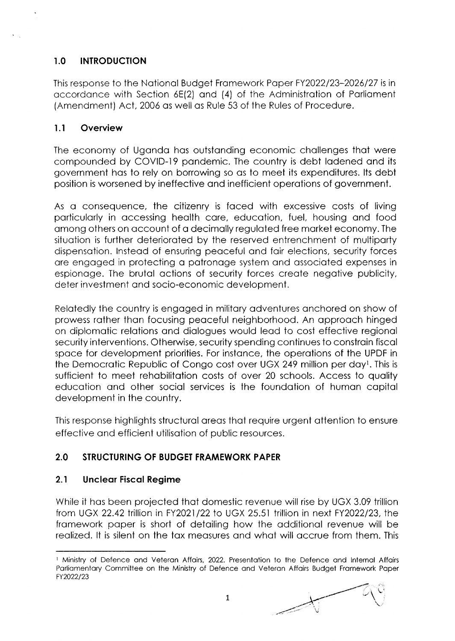### I.O INTRODUCTION

This response to the Notionol Budget Fromework Poper FY2022123-2026127 is in occordonce with Section 6E(2) ond (4) of the Administrotion of Porlioment (Amendment) Act, 2006 os well os Rule 53 of the Rules of Procedure.

#### <sup>I</sup>.l Overview

The economy of Uganda has outstanding economic challenges that were compounded by COVID-19 pandemic. The country is debt ladened and its government hos to rely on borrowing so os to meet its expenditures. lts debt position is worsened by ineffective ond inefficient operotions of government.

As o consequence, the citizenry is foced with excessive costs of living porticulorly in occessing heolth core, educotion, fuel, housing ond food omong others on occount of o decimolly reguloted free morket economy. The situation is further deteriorated by the reserved entrenchment of multiparty dispensotion. lnsteod of ensuring peoceful ond foir elections, security forces ore engoged in protecting o potronoge system ond ossocioted expenses in espionoge. The brutol octions of security forces creote negotive publicity, deter investment ond socio-economic development.

Relotedly the country is engoged in militory odventures onchored on show of prowess rother thon focusing peoceful neighborhood. An opprooch hinged on diplomotic relotions ond diologues would leod to cost effective regionol security interventions. Otherwise, security spending continues to constrain fiscal spoce for development priorities. For instonce, the operotions of the UPDF in the Democrotic Republic of Congo cost over UGX 249 million per doyt. This is sufficient to meet rehabilitation costs of over 20 schools. Access to quality educotion ond other sociol services is the foundotion of humon copitol development in the country.

This response highlights structural areas that require urgent attention to ensure effective ond efficient utilisotion of public resources.

### 2.0 STRUCTURING OF BUDGET FRAMEWORK PAPER

#### 2.1 Uncleor Fiscol Regime

While it hos been projected thot domestic revenue will rise by UGX 3.09 trillion from UGX 22.42 trillion in FY2021/22 to UGX 25.51 trillion in next FY2022/23, the fromework poper is short of detoiling how the odditionol revenue will be reolized. lt is silent on the tox meosures ond whot will occrue from them. This

<sup>&</sup>lt;sup>1</sup> Ministry of Defence and Veteran Affairs, 2022. Presentation to the Defence and Internal Affairs Porliomentory Committee on lhe Ministry of Defence ond Veteron Affoirs Budget Fromework Poper FY2022/23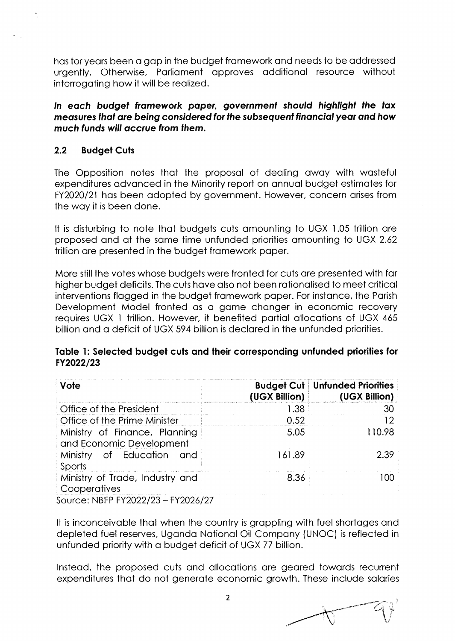has for years been a gap in the budget framework and needs to be addressed urgently. Otherwise, Parliament approves additional resource without interrogating how it will be realized.

In each budget framework paper, government should highlight the tax measures that are being considered for the subsequent financial year and how much funds will accrue from them.

#### $2.2$ **Budget Cuts**

The Opposition notes that the proposal of dealing away with wasteful expenditures advanced in the Minority report on annual budget estimates for FY2020/21 has been adopted by government. However, concern arises from the way it is been done.

It is disturbing to note that budgets cuts amounting to UGX 1.05 trillion are proposed and at the same time unfunded priorities amounting to UGX 2.62 trillion are presented in the budget framework paper.

More still the votes whose budgets were fronted for cuts are presented with far higher budget deficits. The cuts have also not been rationalised to meet critical interventions flagged in the budget framework paper. For instance, the Parish Development Model fronted as a game changer in economic recovery requires UGX 1 trillion. However, it benefited partial allocations of UGX 465 billion and a deficit of UGX 594 billion is declared in the unfunded priorities.

#### Table 1: Selected budget cuts and their corresponding unfunded priorities for FY2022/23

| Vote                                                          | (UGX Billion) | <b>Budget Cut   Unfunded Priorities</b><br>(UGX Billion) |
|---------------------------------------------------------------|---------------|----------------------------------------------------------|
| Office of the President                                       | 1.38          | 30                                                       |
| Office of the Prime Minister                                  | 0.52          |                                                          |
| Ministry of Finance, Planning<br>and Economic Development     | 5.05          | 110.98                                                   |
| Ministry of Education and<br>Sports                           | 161.89        | 2.39                                                     |
| Ministry of Trade, Industry and<br>Cooperatives<br>F110001107 | 8.36          | m                                                        |

Source: NBFP FY2022/23 - FY2026/27

It is inconceivable that when the country is grappling with fuel shortages and depleted fuel reserves, Uganda National Oil Company (UNOC) is reflected in unfunded priority with a budget deficit of UGX 77 billion.

Instead, the proposed cuts and allocations are geared towards recurrent expenditures that do not generate economic growth. These include salaries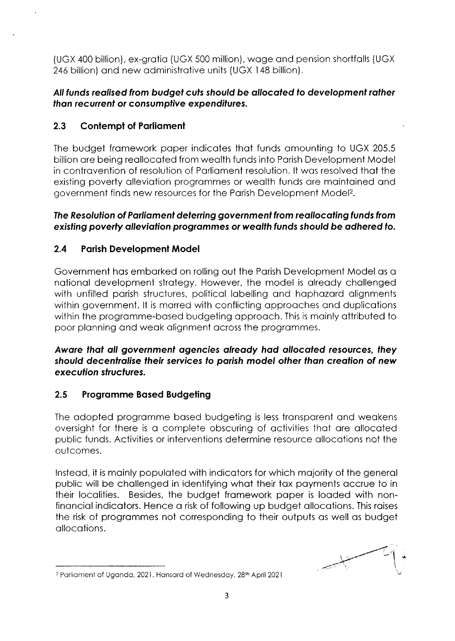(UGX 400 billion), ex-grotio (UGX 500 million), woge ond pension shortfolls (UGX 246 billion) ond new odministrotive units (UGX l48 billion).

### All funds realised from budget cuts should be allocated to development rather than recurrent or consumptive expenditures.

### 2.3 Contempt of Parliament

The budget framework paper indicates that funds amounting to UGX 205.5 billion ore being reollocoted from weolth funds into Porish Development Model in contravention of resolution of Parliament resolution. It was resolved that the existing poverty alleviation programmes or wealth funds are maintained and government finds new resources for the Porish Development Model2.

### Ihe Resolulion of Porliomenf defening govetnmenf from reollocoting funds from existing poverty alleviation programmes or wealth funds should be adhered to.

### 2.4 Parish Development Model

Government hos emborked on rolling out the Porish Development Model os o notionol development strotegy. However, the model is olreody chollenged with unfilled parish structures, political labelling and haphazard alignments within government. It is marred with conflicting approaches and duplications within the programme-based budgeting approach. This is mainly attributed to poor plonning ond weok olignment ocross the progrommes.

Awore thot oll governmenf ogencies olreody hod ollocofed resources, they should decenfrolise fheir services fo porish model other thon creofion of new execufion sfrucfures.

### 2.5 Progromme Bosed Budgeting

The odopted progromme bosed budgeting is less tronsporent ond weokens oversight for there is o complete obscuring of octivities thot ore ollocoted public funds. Activities or interventions determine resource ollocotions not the outcomes.

lnsteod, it is moinly populoted with indicotors for which mojority of the generol public will be challenged in identifying what their tax payments accrue to in their locolities. Besides, the budget fromework poper is looded with nonfinonciol indicotors. Hence o risk of following up budget ollocotions. This roises the risk of progrommes not corresponding to their outputs os well os budget ollocotions.

.-L;  $-1$ 

<sup>&</sup>lt;sup>2</sup> Parliament of Uganda, 2021. Hansard of Wednesday, 28<sup>th</sup> April 2021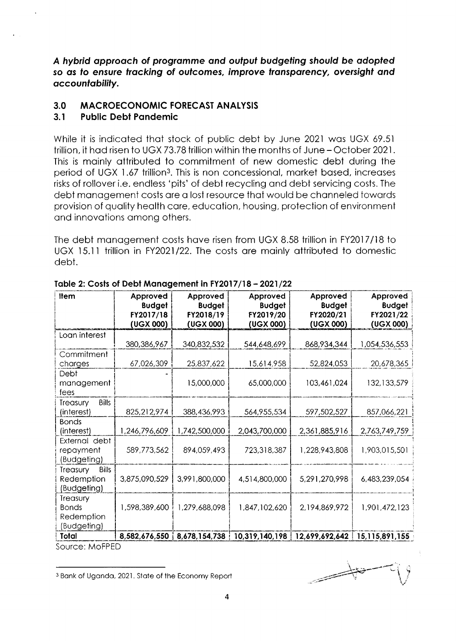A hybrid approach of programme and output budgeting should be adopted so as to ensure tracking of outcomes, improve transparency, oversight and accountability.

#### $3.0$ **MACROECONOMIC FORECAST ANALYSIS**

#### $3.1$ **Public Debt Pandemic**

While it is indicated that stock of public debt by June 2021 was UGX 69.51 trillion, it had risen to UGX 73.78 trillion within the months of June - October 2021. This is mainly attributed to commitment of new domestic debt during the period of UGX 1.67 trillion<sup>3</sup>. This is non concessional, market based, increases risks of rollover i.e. endless 'pits' of debt recycling and debt servicing costs. The debt management costs are a lost resource that would be channeled towards provision of quality health care, education, housing, protection of environment and innovations among others.

The debt management costs have risen from UGX 8.58 trillion in FY2017/18 to UGX 15.11 trillion in FY2021/22. The costs are mainly attributed to domestic debt.

| <b>Item</b>                                                  | Approved<br><b>Budget</b><br>FY2017/18<br>(UGX 000) | Approved<br><b>Budget</b><br>FY2018/19<br>(UGX 000) | Approved<br><b>Budget</b><br>FY2019/20<br>(UGX 000) | Approved<br><b>Budget</b><br>FY2020/21<br>(UGX 000) | Approved<br><b>Budget</b><br>FY2021/22<br>(UGX 000) |
|--------------------------------------------------------------|-----------------------------------------------------|-----------------------------------------------------|-----------------------------------------------------|-----------------------------------------------------|-----------------------------------------------------|
| Loan interest                                                | 380,386,967                                         | 340,832,532                                         | 544,648,699                                         | 868,934,344                                         | 1,054.536,553                                       |
| Commitment<br>charges                                        | 67,026,309                                          | 25,837,622                                          | 15,614,958                                          | 52,824,053                                          | 20,678,365                                          |
| Debt<br>management<br>fees                                   |                                                     | 15,000,000                                          | 65,000,000                                          | 103,461,024                                         | 132,133,579                                         |
| <b>Bills</b><br>Treasury<br>(interest)                       | 825,212,974                                         | 388,436,993                                         | 564,955,534                                         | 597,502,527                                         | 857,066,221                                         |
| <b>Bonds</b><br>(interest)                                   | 1,246,796,609                                       | 1,742,500,000                                       | 2,043,700,000                                       | 2,361,885,916                                       | 2,763,749,759                                       |
| External debt<br>repayment<br>(Budgeting)                    | 589,773,562                                         | 894,059,493                                         | 723,318,387                                         | 1,228,943,808                                       | 1,903,015,501                                       |
| <b>Bills</b><br><b>Treasury</b><br>Redemption<br>(Budgeting) | 3,875,090,529                                       | 3,991,800,000                                       | 4,514,800,000                                       | 5,291,270,998                                       | 6,483,239,054                                       |
| Treasury<br><b>Bonds</b><br>Redemption<br>(Budgeting)        | 1,598,389,600                                       | 1,279,688,098                                       | 1,847,102,620                                       | 2,194,869,972                                       | 1,901,472,123                                       |
| Total<br>Source: MoFPED                                      | 8,582,676,550                                       | 8,678,154,738                                       | 10,319,140,198                                      | 12,699,692,642                                      | 15, 115, 891, 155                                   |

Table 2: Costs of Debt Management in FY2017/18 - 2021/22

<sup>3</sup> Bank of Uganda, 2021. State of the Economy Report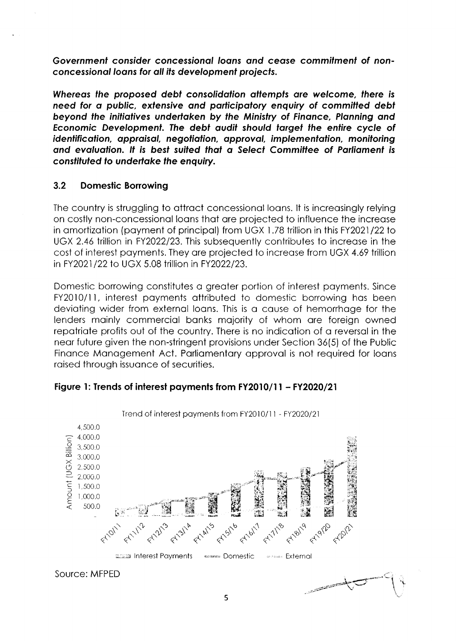Governmenf consider concessionol loons ond ceose commifmenf of nonconcessionol loons for oll ifs deyelopmenf projecfs.

Whereas the proposed debt consolidation attempts are welcome, there is need for a public, extensive and participatory enquiry of committed debt beyond the initiofiyes underfoken by the Ministry of Finonce, Plonning ond Economic Development. The debt audit should target the entire cycle of identification, appraisal, negotiation, approval, implementation, monitoring and evaluation. It is best suited that a Select Committee of Parliament is consfifufed fo underfoke the enquiry.

#### 3.2 Domestic Borrowing

The country is struggling to ottroct concessionol loons. lt is increosingly relying on costly non-concessionol loons thot ore projected to influence the increose in amortization (payment of principal) from UGX 1.78 trillion in this FY2021/22 to UGX 2.46 trillion in FY2022/23. This subsequently contributes to increase in the cost of interest poyments. They ore projected to increose from UGX 4.69 trillion in FY2021/22 to UGX 5.08 trillion in FY2022/23.

Domestic borrowing constitutes o greoter portion of interest poyments. Since FY2010/11, interest payments attributed to domestic borrowing has been devioting wider from externol loons. This is o couse of hemorrhoge for the lenders mainly commercial banks majority of whom are foreign owned repatriate profits out of the country. There is no indication of a reversal in the neor future given the non-stringent provisions under Section 36(5) of the Public Finance Management Act. Parliamentary approval is not required for loans roised through issuonce of securities.



#### Figure 1: Trends of interest payments from FY2010/11 - FY2020/21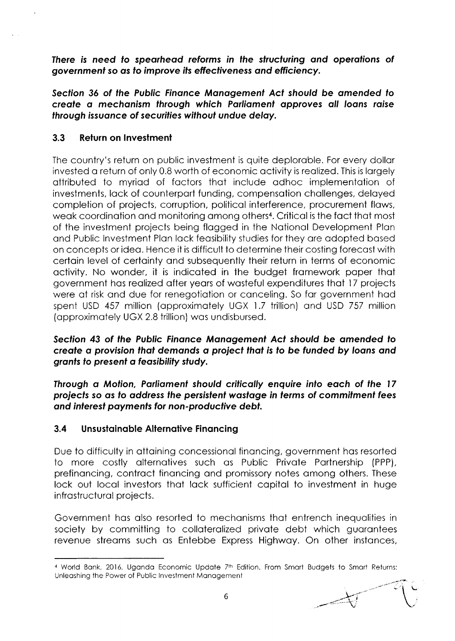Ihere is need fo speorheod reforms in fhe slructuring ond operofions of governmenf so os fo improve ifs effecfiveness ond efficiency.

Secfion 36 of the Public Finonce Monogemenf Acf should be omended fo creofe o mechonism through which Porliomenf opproves oll loons roise through issuonce of securifies wifhout undue deloy.

#### 3.3 Return on lnvestment

The country's return on public investment is quite deplorable. For every dollar invested o return of only 0.8 worth of economic octivity is reolized. This is lorgely ottributed to myriod of foctors thot include odhoc implementotion of investments, lock of counterport funding, compensotion chollenges, deloyed completion of projects, corruption, politicol interference, procurement flows, weak coordination and monitoring among others<sup>4</sup>. Critical is the fact that most of the investment projects being flogged in the Notionol Development Plon ond Public lnvestment Plon lock feosibility studies for they ore odopted bosed on concepts or ideo. Hence it is difficult to determine their costing forecost with certoin level of certointy ond subsequently their return in terms of economic octivity. No wonder, it is indicoted in the budget fromework poper thot government hos reolized ofter yeors of wosteful expenditures thot l7 projects were at risk and due for renegotiation or canceling. So far government had spent USD 457 million (approximately UGX 1.7 trillion) and USD 757 million (opproximotely UGX 2.8 trillion) wos undisbursed.

#### Section 43 of the Public Finance Management Act should be amended to create a provision that demands a project that is to be funded by loans and grants to present a feasibility study.

Through a Motion, Parliament should critically enquire into each of the 17 projecfs so os fo oddress lhe persisfenf wosfoge in ferms of commifmenf fees ond interesf poymenfs for non-producfiye debf.

#### 3.4 Unsustainable Alternative Financing

Due to difficulty in ottoining concessionol finoncing, government hos resorted to more costly alternatives such as Public Private Partnership (PPP), prefinancing, contract financing and promissory notes among others. These lock out local investors that lack sufficient capital to investment in huge infrostructurol projects.

Government hos olso resorted to mechonisms thot entrench inequolities in society by committing to collateralized private debt which guarantees revenue streams such as Entebbe Express Highway. On other instances,

I -j'  $\sim$ L' .--.-:'? ''  $\bigwedge$ 

<sup>&</sup>lt;sup>4</sup> World Bank, 2016. Uganda Economic Update 7<sup>th</sup> Edition. From Smart Budgets to Smart Returns: Unleoshing the Power of Public lnvestment Monogemenl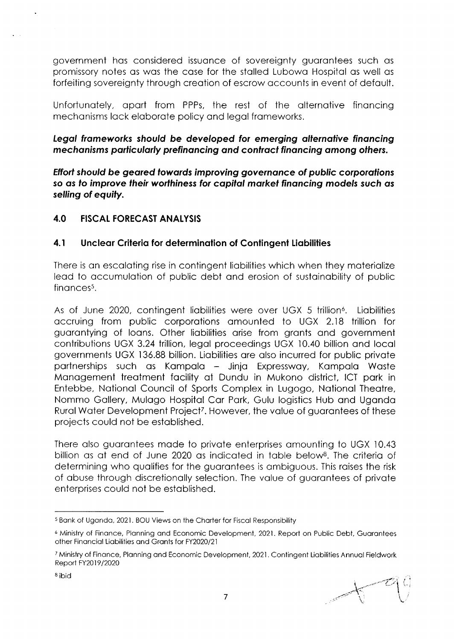government has considered issuance of sovereignty guarantees such as promissory notes as was the case for the stalled Lubowa Hospital as well as forfeiting sovereignty through creation of escrow accounts in event of default.

Unfortunately, apart from PPPs, the rest of the alternative financing mechanisms lack elaborate policy and legal frameworks.

### Legal frameworks should be developed for emerging alternative financing mechanisms particularly prefinancing and contract financing among others.

Effort should be geared towards improving governance of public corporations so as to improve their worthiness for capital market financing models such as selling of equity.

#### 4.0 **FISCAL FORECAST ANALYSIS**

#### $4.1$ Unclear Criteria for determination of Contingent Liabilities

There is an escalating rise in contingent liabilities which when they materialize lead to accumulation of public debt and erosion of sustainability of public  $finances<sup>5</sup>$ .

As of June 2020, contingent liabilities were over UGX 5 trillion<sup>6</sup>. Liabilities accruing from public corporations amounted to UGX 2.18 trillion for guarantying of loans. Other liabilities arise from grants and government contributions UGX 3.24 trillion, legal proceedings UGX 10.40 billion and local governments UGX 136.88 billion. Liabilities are also incurred for public private partnerships such as Kampala – Jinja Expressway, Kampala Waste Management treatment facility at Dundu in Mukono district, ICT park in Entebbe, National Council of Sports Complex in Lugogo, National Theatre, Nommo Gallery, Mulago Hospital Car Park, Gulu logistics Hub and Uganda Rural Water Development Project<sup>7</sup>. However, the value of guarantees of these projects could not be established.

There also guarantees made to private enterprises amounting to UGX 10.43 billion as at end of June 2020 as indicated in table below<sup>8</sup>. The criteria of determining who qualifies for the guarantees is ambiguous. This raises the risk of abuse through discretionally selection. The value of guarantees of private enterprises could not be established.

<sup>&</sup>lt;sup>5</sup> Bank of Uganda, 2021. BOU Views on the Charter for Fiscal Responsibility

<sup>&</sup>lt;sup>6</sup> Ministry of Finance, Planning and Economic Development, 2021. Report on Public Debt, Guarantees other Financial Liabilities and Grants for FY2020/21

<sup>&</sup>lt;sup>7</sup> Ministry of Finance, Planning and Economic Development, 2021. Contingent Liabilities Annual Fieldwork Report FY2019/2020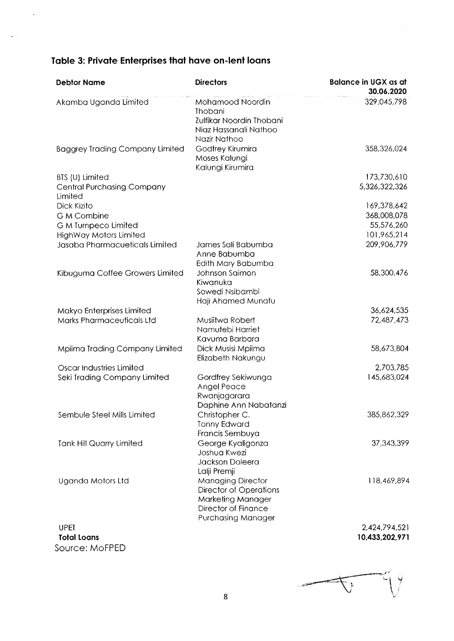## Table 3: Private Enterprises that have on-lent loans

 $\ddot{\phantom{a}}$ 

J.

| <b>Debtor Name</b>                           | <b>Directors</b>                                                                                                            | <b>Balance in UGX as at</b><br>30.06.2020 |
|----------------------------------------------|-----------------------------------------------------------------------------------------------------------------------------|-------------------------------------------|
| Akamba Uganda Limited                        | Mohamood Noordin<br><b>Thobani</b><br>Zulfikar Noordin Thobani<br>Niaz Hassanali Nathoo<br>Nazir Nathoo                     | 329,045,798                               |
| <b>Baggrey Trading Company Limited</b>       | Godfrey Kirumira<br>Moses Kalungi<br>Kalungi Kirumira                                                                       | 358,326,024                               |
| BTS (U) Limited                              |                                                                                                                             | 173,730,610                               |
| <b>Central Purchasing Company</b><br>Limited |                                                                                                                             | 5,326,322,326                             |
| Dick Kizito                                  |                                                                                                                             | 169,378,642                               |
| <b>G M Combine</b>                           |                                                                                                                             | 368,008,078                               |
| <b>G M Turnpeco Limited</b>                  |                                                                                                                             | 55,576,260                                |
| HighWay Motors Limited                       |                                                                                                                             | 101,965,214                               |
| Jasaba Pharmacueticals Limited               | James Sali Babumba<br>Anne Babumba<br>Edith Mary Babumba                                                                    | 209,906,779                               |
| Kibuguma Coffee Growers Limited              | Johnson Saimon<br>Kiwanuka<br>Sowedi Nsibambi<br>Haji Ahamed Munafu                                                         | 58,300,476                                |
| Makyo Enterprises Limited                    |                                                                                                                             | 36,624,535                                |
| Marks Pharmaceuticals Ltd                    | Musiitwa Robert<br>Namutebi Harriet<br>Kavuma Barbara                                                                       | 72,487,473                                |
| Mpiima Trading Company Limited               | Dick Musisi Mpiima<br>Elizabeth Nakungu                                                                                     | 58,673,804                                |
| <b>Oscar Industries Limited</b>              |                                                                                                                             | 2,703,785                                 |
| Seki Trading Company Limited                 | Gordfrey Sekiwunga<br>Angel Peace<br>Rwanjagarara<br>Daphine Ann Nabatanzi                                                  | 145,683,024                               |
| Sembule Steel Mills Limited                  | Christopher C.<br><b>Tonny Edward</b><br>Francis Sembuya                                                                    | 385,862,329                               |
| <b>Tank Hill Quarry Limited</b>              | George Kyaligonza<br>Joshua Kwezi<br>Jackson Doleera<br>Lalji Premji                                                        | 37,343,399                                |
| Uganda Motors Ltd                            | <b>Managing Director</b><br><b>Director of Operations</b><br>Marketing Manager<br>Director of Finance<br>Purchasing Manager | 118,469,894                               |
| <b>UPET</b>                                  |                                                                                                                             | 2,424,794,521                             |

**Total Loans** Source: MoFPED

2,424,794,521 10,433,202,971

پ<br>ا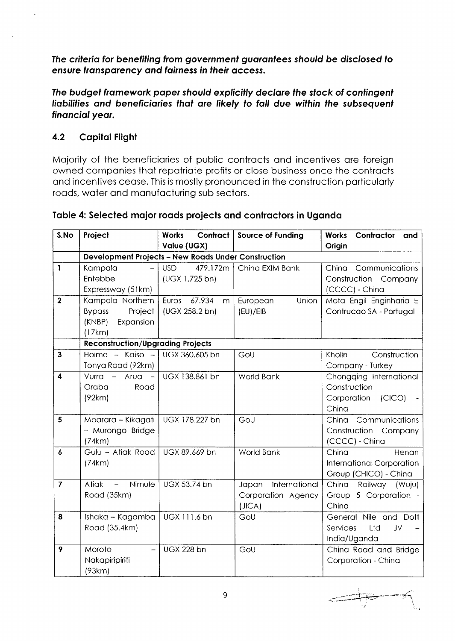The criteria for benefiting from government guarantees should be disclosed to ensure transparency and fairness in their access.

The budget framework paper should explicitly declare the stock of contingent liabilities and beneficiaries that are likely to fall due within the subsequent financial year.

#### $4.2$ **Capital Flight**

Majority of the beneficiaries of public contracts and incentives are foreign owned companies that repatriate profits or close business once the contracts and incentives cease. This is mostly pronounced in the construction particularly roads, water and manufacturing sub sectors.

| S.No             | Project                                                    | Contract<br><b>Works</b><br>Value (UGX) | <b>Source of Funding</b> | Contractor<br><b>Works</b><br>and<br>Origin        |  |  |
|------------------|------------------------------------------------------------|-----------------------------------------|--------------------------|----------------------------------------------------|--|--|
|                  | <b>Development Projects - New Roads Under Construction</b> |                                         |                          |                                                    |  |  |
| $\mathbf{I}$     | Kampala                                                    | 479.172m<br><b>USD</b>                  | China EXIM Bank          | China Communications                               |  |  |
|                  | Entebbe                                                    | (UGX 1,725 bn)                          |                          | Construction<br>Company                            |  |  |
|                  | Expressway (51km)                                          |                                         |                          | (CCCC) - China                                     |  |  |
| $\overline{2}$   | Kampala Northern                                           | Euros<br>67.934<br>m                    | European<br>Union        | Mota Engil Enginharia E                            |  |  |
|                  | Project<br><b>Bypass</b><br>(KNBP)<br>Expansion            | (UGX 258.2 bn)                          | (EU)/EIB                 | Contrucao SA - Portugal                            |  |  |
|                  | (17km)                                                     |                                         |                          |                                                    |  |  |
|                  | <b>Reconstruction/Upgrading Projects</b>                   |                                         |                          |                                                    |  |  |
| $\mathbf{3}$     | Hoima - Kaiso -                                            | UGX 360.605 bn                          | GoU                      | Kholin<br>Construction                             |  |  |
|                  | Tonya Road (92km)                                          |                                         |                          | Company - Turkey                                   |  |  |
| $\boldsymbol{A}$ | Vurra - Arua -                                             | UGX 138.861 bn                          | World Bank               | Chongqing International                            |  |  |
|                  | Road<br>Oraba                                              |                                         |                          | Construction                                       |  |  |
|                  | (92km)                                                     |                                         |                          | Corporation<br>(CICO)                              |  |  |
|                  |                                                            |                                         |                          | China                                              |  |  |
| 5                | Mbarara - Kikagati                                         | UGX 178.227 bn                          | GoU                      | Communications<br>China                            |  |  |
|                  | - Murongo Bridge                                           |                                         |                          | Construction Company                               |  |  |
|                  | (74km)                                                     |                                         |                          | (CCCC) - China                                     |  |  |
| 6                | Gulu - Atiak Road                                          | UGX 89.669 bn                           | World Bank               | China<br>Henan                                     |  |  |
|                  | (74km)                                                     |                                         |                          | International Corporation<br>Group (CHICO) - China |  |  |
| $\overline{7}$   | Nimule<br>Atiak<br>$\overline{\phantom{m}}$                | UGX 53.74 bn                            | International<br>Japan   | China<br>Railway (Wuju)                            |  |  |
|                  | Road (35km)                                                |                                         | Corporation Agency       | Group 5 Corporation -                              |  |  |
|                  |                                                            |                                         | (JICA)                   | China                                              |  |  |
| 8                | Ishaka - Kagamba                                           | UGX 111.6 bn                            | GoU                      | General Nile and Dott                              |  |  |
|                  | Road (35.4km)                                              |                                         |                          | <b>Services</b><br>Ltd<br>JV                       |  |  |
|                  |                                                            |                                         |                          | India/Uganda                                       |  |  |
| 9                | Moroto                                                     | <b>UGX 228 bn</b>                       | GoU                      | China Road and Bridge                              |  |  |
|                  | Nakapiripiriti                                             |                                         |                          | Corporation - China                                |  |  |
|                  | (93km)                                                     |                                         |                          |                                                    |  |  |

### Table 4: Selected major roads projects and contractors in Uganda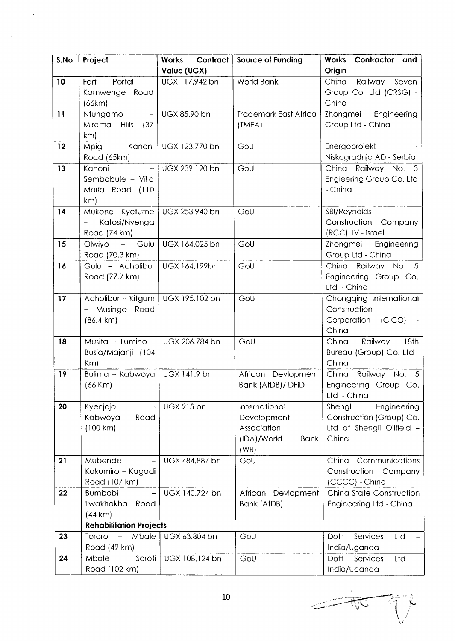| S.No | Project                                                     | Contract<br><b>Works</b> | <b>Source of Funding</b>     | Contractor and<br>Works                        |
|------|-------------------------------------------------------------|--------------------------|------------------------------|------------------------------------------------|
|      |                                                             | Value (UGX)              |                              | Origin                                         |
| 10   | Fort<br>Portal<br>$\overline{\phantom{m}}$                  | UGX 117.942 bn           | World Bank                   | China<br>Railway Seven                         |
|      | Kamwenge Road                                               |                          |                              | Group Co. Ltd (CRSG) -                         |
|      | (66km)                                                      |                          |                              | China                                          |
| 11   | <b>Ntungamo</b><br>$-$                                      | UGX 85.90 bn             | <b>Trademark East Africa</b> | Zhongmei Engineering                           |
|      | Mirama Hills<br>(37)                                        |                          | (TMEA)                       | Group Ltd - China                              |
|      | km                                                          |                          |                              |                                                |
| 12   | Mpigi - Kanoni                                              | UGX 123.770 bn           | GoU                          | Energoprojekt                                  |
|      | Road (65km)                                                 |                          |                              | Niskogradnja AD - Serbia                       |
| 13   | Kanoni<br>$\equiv$                                          | UGX 239.120 bn           | GoU                          | China Railway No. 3                            |
|      | Sembabule - Villa                                           |                          |                              | Engieering Group Co. Ltd                       |
|      | Maria Road (110                                             |                          |                              | - China                                        |
|      | km)                                                         |                          |                              |                                                |
| 14   | Mukono – Kyetume                                            | UGX 253.940 bn           | GoU                          | SBI/Reynolds                                   |
|      | Katosi/Nyenga                                               |                          |                              | Construction Company                           |
|      | Road (74 km)                                                |                          |                              | (RCC) JV - Israel                              |
| 15   | Olwiyo - Gulu                                               | UGX 164.025 bn           | GoU                          | Zhongmei<br>Engineering                        |
|      | Road (70.3 km)                                              |                          |                              | Group Ltd - China                              |
| 16   | Gulu - Acholibur                                            | UGX 164.199bn            | GoU                          | China Railway No. 5                            |
|      | Road (77.7 km)                                              |                          |                              | Engineering Group Co.                          |
|      |                                                             |                          |                              | Ltd - China                                    |
| 17   | Acholibur - Kitgum                                          | UGX 195.102 bn           | GoU                          | Chongqing International                        |
|      | Musingo Road                                                |                          |                              | Construction                                   |
|      | $(86.4 \text{ km})$                                         |                          |                              | Corporation (CICO)                             |
|      |                                                             |                          |                              | China                                          |
| 18   | Musita – Lumino – $\vert$ UGX 206.784 bn                    |                          | GoU                          | Railway<br>18th<br>China                       |
|      | Busia/Majanji (104                                          |                          |                              | Bureau (Group) Co. Ltd -                       |
|      | Km                                                          |                          |                              | China                                          |
| 19   | Bulima - Kabwoya                                            | UGX 141.9 bn             | African Devlopment           | China Railway No. 5                            |
|      | $(66$ Km $)$                                                |                          | Bank (AfDB)/ DFID            | Engineering Group Co.                          |
|      |                                                             |                          |                              | Ltd - China                                    |
| 20   | Kyenjojo<br>$\overline{\phantom{0}}$                        | <b>UGX 215 bn</b>        | International                | Shengli<br>Engineering                         |
|      | Kabwoya<br>Road                                             |                          | Development                  | Construction (Group) Co.                       |
|      | (100 km)                                                    |                          | Association                  | Ltd of Shengli Oilfield -                      |
|      |                                                             |                          | (IDA)/World<br><b>Bank</b>   | China                                          |
|      |                                                             |                          | (WB)                         |                                                |
| 21   | Mubende                                                     | UGX 484.887 bn           | GoU                          | Communications<br>China                        |
|      | Kakumiro - Kagadi                                           |                          |                              | Construction<br>Company                        |
|      | Road (107 km)                                               |                          |                              | (CCCC) - China                                 |
| 22   | <b>Bumbobi</b><br>-                                         | UGX 140.724 bn           | African Devlopment           | China State Construction                       |
|      | Lwakhakha<br>Road                                           |                          | Bank (AfDB)                  | Engineering Ltd - China                        |
|      | (44 km)                                                     |                          |                              |                                                |
| 23   | <b>Rehabilitation Projects</b><br>Mbale                     |                          |                              |                                                |
|      | Tororo<br>$\overline{\phantom{a}}$                          | UGX 63.804 bn            | GoU                          | Services<br>Ltd<br>Dott                        |
| 24   | Road (49 km)<br>Mbale<br>Soroti<br>$\overline{\phantom{m}}$ | UGX 108.124 bn           | GoU                          | India/Uganda<br>Services<br><b>Dott</b><br>Ltd |
|      | Road (102 km)                                               |                          |                              | India/Uganda                                   |
|      |                                                             |                          |                              |                                                |

 $\ddot{\phantom{a}}$ 

l,

I 矿  $\overline{\phantom{a}}$ **TO**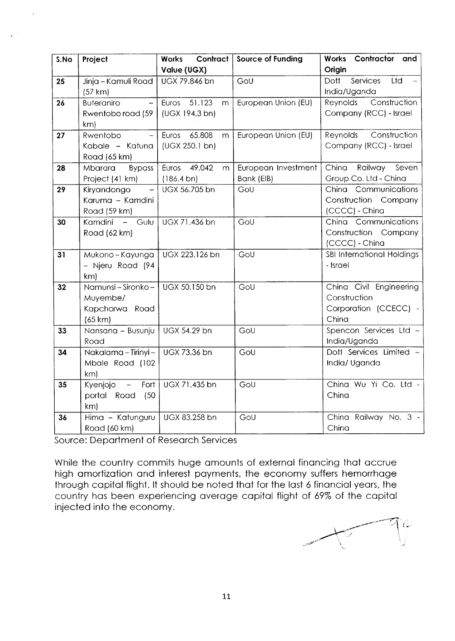| S.No | Project                  | Contract<br><b>Works</b> | <b>Source of Funding</b> | Works Contractor and              |
|------|--------------------------|--------------------------|--------------------------|-----------------------------------|
|      |                          | Value (UGX)              |                          | Origin                            |
| 25   | Jinja – Kamuli Road      | UGX 79.846 bn            | GoU                      | <b>Dott</b><br>Services<br>Ltd    |
|      | (57 km)                  |                          |                          | India/Uganda                      |
| 26   | <b>Buteraniro</b>        | Euros 51.123<br>m        | European Union (EU)      | Construction<br>Reynolds          |
|      | Rwentobo road (59        | (UGX 194.3 bn)           |                          | Company (RCC) - Israel            |
|      | km)                      |                          |                          |                                   |
| 27   | Rwentobo                 | Euros<br>65.808<br>m     | European Union (EU)      | Construction<br>Reynolds          |
|      | Kabale - Katuna          | (UGX 250.1 bn)           |                          | Company (RCC) - Israel            |
|      | Road (65 km)             |                          |                          |                                   |
| 28   | <b>Bypass</b><br>Mbarara | 49.042<br>Euros<br>m     | European Investment      | China Railway<br>Seven            |
|      | Project (41 km)          | (186.4 b)                | Bank (EIB)               | Group Co. Ltd - China             |
| 29   | Kiryandongo              | UGX 56.705 bn            | GoU                      | China Communications              |
|      | Karuma - Kamdini         |                          |                          | Construction Company              |
|      | Road (59 km)             |                          |                          | (CCCC) - China                    |
| 30   | Kamdini<br>- Gulu        | UGX 71.436 bn            | GoU                      | China Communications              |
|      | Road (62 km)             |                          |                          | Construction Company              |
|      |                          |                          |                          | (CCCC) - China                    |
| 31   | Mukono-Kayunga           | UGX 223.126 bn           | GoU                      | <b>SBI International Holdings</b> |
|      | - Njeru Road (94         |                          |                          | - Israel                          |
|      | km                       |                          |                          |                                   |
| 32   | Namunsi - Sironko -      | UGX 50.150 bn            | GoU                      | China Civil Engineering           |
|      | Muyembe/                 |                          |                          | Construction                      |
|      | Kapchorwa Road           |                          |                          | Corporation (CCECC) -             |
|      | (65 km)                  |                          |                          | China                             |
| 33   | Nansana - Busunju        | UGX 54.29 bn             | GoU                      | Spencon Services Ltd -            |
|      | Road                     |                          |                          | India/Uganda                      |
| 34   | Nakalama - Tirinyi -     | UGX 73.36 bn             | GoU                      | Dott Services Limited -           |
|      | Mbale Road (102          |                          |                          | India/ Uganda                     |
|      | km                       |                          |                          |                                   |
| 35   | Kyenjojo<br>Fort<br>$-$  | UGX 71.435 bn            | GoU                      | China Wu Yi Co. Ltd -             |
|      | portal Road<br>(50)      |                          |                          | China                             |
|      | km                       |                          |                          |                                   |
| 36   | Hima - Katunguru         | UGX 83.258 bn            | GoU                      | China Railway No. 3 -             |
|      | Road (60 km)             |                          |                          | China                             |

Source: Deportment of Reseorch Services

While the country commits huge amounts of external financing that accrue high amortization and interest payments, the economy suffers hemorrhage through copitol flight. lt should be noted thot for the lost 6 finonciol yeors, the country hos been experiencing overoge copitol flight of 69% of the copitol injected into the economy.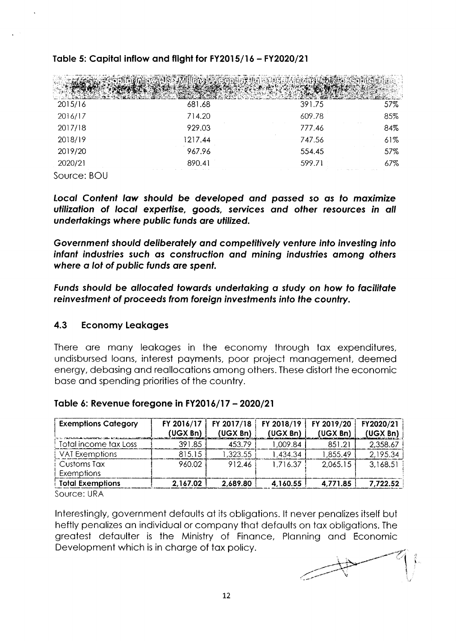| 2015/16     | 681.68  | 391.75 | 57% |
|-------------|---------|--------|-----|
| 2016/17     | 714.20  | 609.78 | 85% |
| 2017/18     | 929.03  | 777.46 | 84% |
| 2018/19     | 1217.44 | 747.56 | 61% |
| 2019/20     | 967.96  | 554.45 | 57% |
| 2020/21     | 890.41  | 599.71 | 67% |
| Source: BOU |         |        |     |

#### Table 5: Capital inflow and flight for FY2015/16 - FY2020/21

Local Content law should be developed and passed so as to maximize utilization of local expertise, goods, services and other resources in all undertakings where public funds are utilized.

Government should deliberately and competitively venture into investing into infant industries such as construction and mining industries among others where a lot of public funds are spent.

Funds should be allocated towards undertaking a study on how to facilitate reinvestment of proceeds from foreign investments into the country.

#### $4.3$ **Economy Leakages**

There are many leakages in the economy through tax expenditures, undisbursed loans, interest payments, poor project management, deemed energy, debasing and reallocations among others. These distort the economic base and spending priorities of the country.

| Table 6: Revenue foregone in FY2016/17 - 2020/21 |  |
|--------------------------------------------------|--|
|--------------------------------------------------|--|

| FY 2016/17 | FY 2017/18 | FY 2018/19 | FY 2019/20 | FY2020/21 |
|------------|------------|------------|------------|-----------|
| (UGX Bn)   | (UGX Bn)   | (UGX Bn)   | (UGX Bn)   | (UGX Bn)  |
| 391.85     | 453.79     | 1,009.84   | 851.21     | 2,358.67  |
| 815.15     | 1,323.55   | 1,434.34   | 1,855.49   | 2,195.34  |
| 960.02     | 912.46     | 1,716.37   | 2,065.15   | 3,168.51  |
| 2,167.02   | 2,689.80   | 4,160.55   | 4.771.85   | 7,722.52  |
|            |            |            |            |           |

Source: URA

Interestingly, government defaults at its obligations. It never penalizes itself but heftly penalizes an individual or company that defaults on tax obligations. The greatest defaulter is the Ministry of Finance, Planning and Economic Development which is in charge of tax policy.